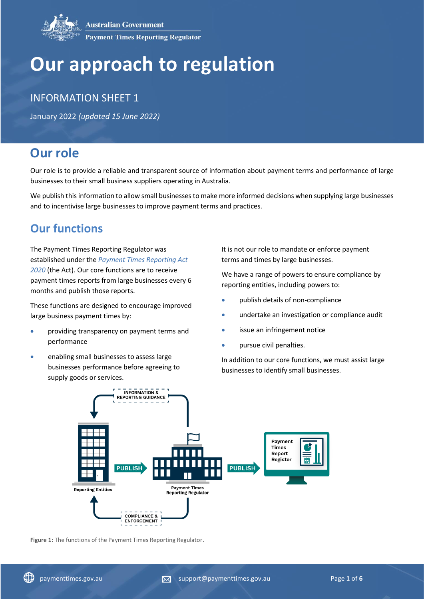# **Our approach to regulation**

## INFORMATION SHEET 1

January 2022 *(updated 15 June 2022)*

# **Our role**

Our role is to provide a reliable and transparent source of information about payment terms and performance of large businesses to their small business suppliers operating in Australia.

We publish this information to allow small businesses to make more informed decisions when supplying large businesses and to incentivise large businesses to improve payment terms and practices.

# **Our functions**

The Payment Times Reporting Regulator was established under the *[Payment Times Reporting Act](https://www.legislation.gov.au/Series/C2020A00091)  [2020](https://www.legislation.gov.au/Series/C2020A00091)* (the Act). Our core functions are to receive payment times reports from large businesses every 6 months and publish those reports.

These functions are designed to encourage improved large business payment times by:

- providing transparency on payment terms and performance
- enabling small businesses to assess large businesses performance before agreeing to supply goods or services.

It is not our role to mandate or enforce payment terms and times by large businesses.

We have a range of powers to ensure compliance by reporting entities, including powers to:

- publish details of non-compliance
- undertake an investigation or compliance audit
- issue an infringement notice
- pursue civil penalties.

In addition to our core functions, we must assist large businesses to identify small businesses.



**Figure 1:** The functions of the Payment Times Reporting Regulator.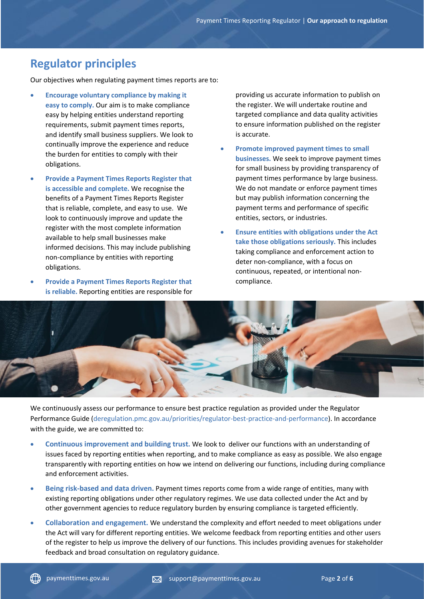# **Regulator principles**

Our objectives when regulating payment times reports are to:

- **Encourage voluntary compliance by making it easy to comply.** Our aim is to make compliance easy by helping entities understand reporting requirements, submit payment times reports, and identify small business suppliers. We look to continually improve the experience and reduce the burden for entities to comply with their obligations.
- **Provide a Payment Times Reports Register that is accessible and complete.** We recognise the benefits of a Payment Times Reports Register that is reliable, complete, and easy to use. We look to continuously improve and update the register with the most complete information available to help small businesses make informed decisions. This may include publishing non-compliance by entities with reporting obligations.
- **Provide a Payment Times Reports Register that is reliable.** Reporting entities are responsible for

providing us accurate information to publish on the register. We will undertake routine and targeted compliance and data quality activities to ensure information published on the register is accurate.

- **Promote improved payment times to small businesses.** We seek to improve payment times for small business by providing transparency of payment times performance by large business. We do not mandate or enforce payment times but may publish information concerning the payment terms and performance of specific entities, sectors, or industries.
- **Ensure entities with obligations under the Act take those obligations seriously.** This includes taking compliance and enforcement action to deter non-compliance, with a focus on continuous, repeated, or intentional noncompliance.



We continuously assess our performance to ensure best practice regulation as provided under the Regulator Performance Guide [\(deregulation.pmc.gov.au/priorities/regulator-best-practice-and-performance\)](https://deregulation.pmc.gov.au/priorities/regulator-best-practice-and-performance). In accordance with the guide, we are committed to:

- **Continuous improvement and building trust.** We look to deliver our functions with an understanding of issues faced by reporting entities when reporting, and to make compliance as easy as possible. We also engage transparently with reporting entities on how we intend on delivering our functions, including during compliance and enforcement activities.
- **Being risk-based and data driven.** Payment times reports come from a wide range of entities, many with existing reporting obligations under other regulatory regimes. We use data collected under the Act and by other government agencies to reduce regulatory burden by ensuring compliance is targeted efficiently.
- **Collaboration and engagement.** We understand the complexity and effort needed to meet obligations under the Act will vary for different reporting entities. We welcome feedback from reporting entities and other users of the register to help us improve the delivery of our functions. This includes providing avenues for stakeholder feedback and broad consultation on regulatory guidance.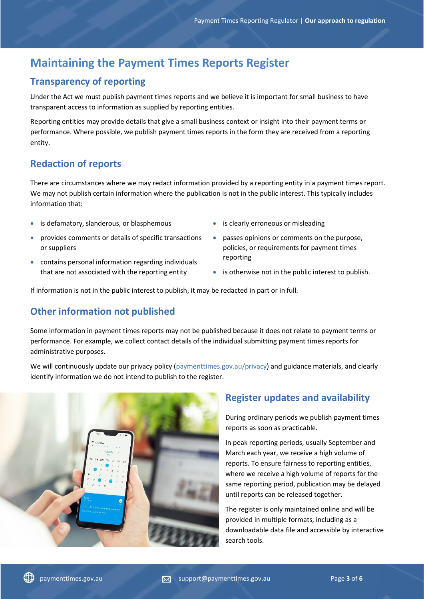# **Maintaining the Payment Times Reports Register**

## **Transparency of reporting**

Under the Act we must publish payment times reports and we believe it is important for small business to have transparent access to information as supplied by reporting entities.

Reporting entities may provide details that give a small business context or insight into their payment terms or performance. Where possible, we publish payment times reports in the form they are received from a reporting entity.

## **Redaction of reports**

There are circumstances where we may redact information provided by a reporting entity in a payment times report. We may not publish certain information where the publication is not in the public interest. This typically includes information that:

- is defamatory, slanderous, or blasphemous
- provides comments or details of specific transactions or suppliers
- contains personal information regarding individuals that are not associated with the reporting entity
- is clearly erroneous or misleading
- passes opinions or comments on the purpose, policies, or requirements for payment times reporting
- is otherwise not in the public interest to publish.

If information is not in the public interest to publish, it may be redacted in part or in full.

## **Other information not published**

Some information in payment times reports may not be published because it does not relate to payment terms or performance. For example, we collect contact details of the individual submitting payment times reports for administrative purposes.

We will continuously update our privacy policy [\(paymenttimes.gov.au/privacy\)](https://paymenttimes.gov.au/privacy) and guidance materials, and clearly identify information we do not intend to publish to the register.



## **Register updates and availability**

During ordinary periods we publish payment times reports as soon as practicable.

In peak reporting periods, usually September and March each year, we receive a high volume of reports. To ensure fairness to reporting entities, where we receive a high volume of reports for the same reporting period, publication may be delayed until reports can be released together.

The register is only maintained online and will be provided in multiple formats, including as a downloadable data file and accessible by interactive search tools.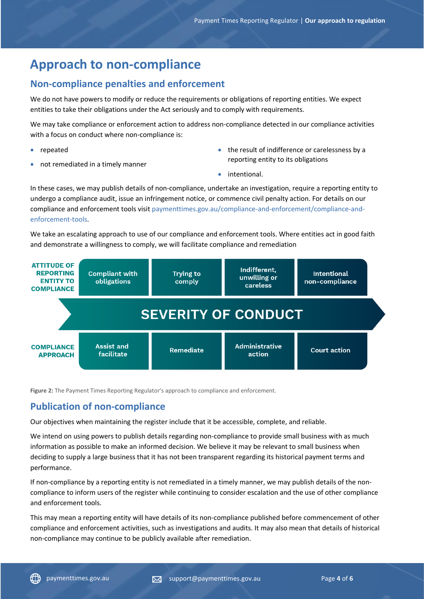# **Approach to non-compliance**

## **Non-compliance penalties and enforcement**

We do not have powers to modify or reduce the requirements or obligations of reporting entities. We expect entities to take their obligations under the Act seriously and to comply with requirements.

We may take compliance or enforcement action to address non-compliance detected in our compliance activities with a focus on conduct where non-compliance is:

- repeated
- not remediated in a timely manner
- the result of indifference or carelessness by a reporting entity to its obligations
- intentional.

In these cases, we may publish details of non-compliance, undertake an investigation, require a reporting entity to undergo a compliance audit, issue an infringement notice, or commence civil penalty action. For details on our compliance and enforcement tools visit [paymenttimes.gov.au/compliance-and-enforcement/compliance-and](https://paymenttimes.gov.au/compliance-and-enforcement/compliance-and-enforcement-tools)[enforcement-tools.](https://paymenttimes.gov.au/compliance-and-enforcement/compliance-and-enforcement-tools)

We take an escalating approach to use of our compliance and enforcement tools. Where entities act in good faith and demonstrate a willingness to comply, we will facilitate compliance and remediation



**Figure 2:** The Payment Times Reporting Regulator's approach to compliance and enforcement.

## **Publication of non-compliance**

Our objectives when maintaining the register include that it be accessible, complete, and reliable.

We intend on using powers to publish details regarding non-compliance to provide small business with as much information as possible to make an informed decision. We believe it may be relevant to small business when deciding to supply a large business that it has not been transparent regarding its historical payment terms and performance.

If non-compliance by a reporting entity is not remediated in a timely manner, we may publish details of the noncompliance to inform users of the register while continuing to consider escalation and the use of other compliance and enforcement tools.

This may mean a reporting entity will have details of its non-compliance published before commencement of other compliance and enforcement activities, such as investigations and audits. It may also mean that details of historical non-compliance may continue to be publicly available after remediation.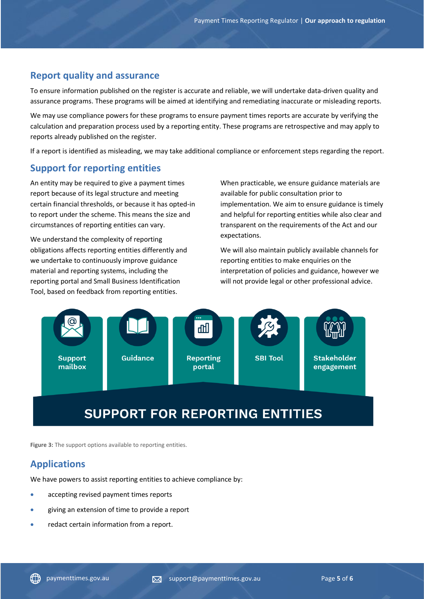#### **Report quality and assurance**

To ensure information published on the register is accurate and reliable, we will undertake data-driven quality and assurance programs. These programs will be aimed at identifying and remediating inaccurate or misleading reports.

We may use compliance powers for these programs to ensure payment times reports are accurate by verifying the calculation and preparation process used by a reporting entity. These programs are retrospective and may apply to reports already published on the register.

If a report is identified as misleading, we may take additional compliance or enforcement steps regarding the report.

#### **Support for reporting entities**

An entity may be required to give a payment times report because of its legal structure and meeting certain financial thresholds, or because it has opted-in to report under the scheme. This means the size and circumstances of reporting entities can vary.

We understand the complexity of reporting obligations affects reporting entities differently and we undertake to continuously improve guidance material and reporting systems, including the reporting portal and Small Business Identification Tool, based on feedback from reporting entities.

When practicable, we ensure guidance materials are available for public consultation prior to implementation. We aim to ensure guidance is timely and helpful for reporting entities while also clear and transparent on the requirements of the Act and our expectations.

We will also maintain publicly available channels for reporting entities to make enquiries on the interpretation of policies and guidance, however we will not provide legal or other professional advice.



# **SUPPORT FOR REPORTING ENTITIES**

**Figure 3:** The support options available to reporting entities.

## **Applications**

We have powers to assist reporting entities to achieve compliance by:

- accepting revised payment times reports
- giving an extension of time to provide a report
- redact certain information from a report.